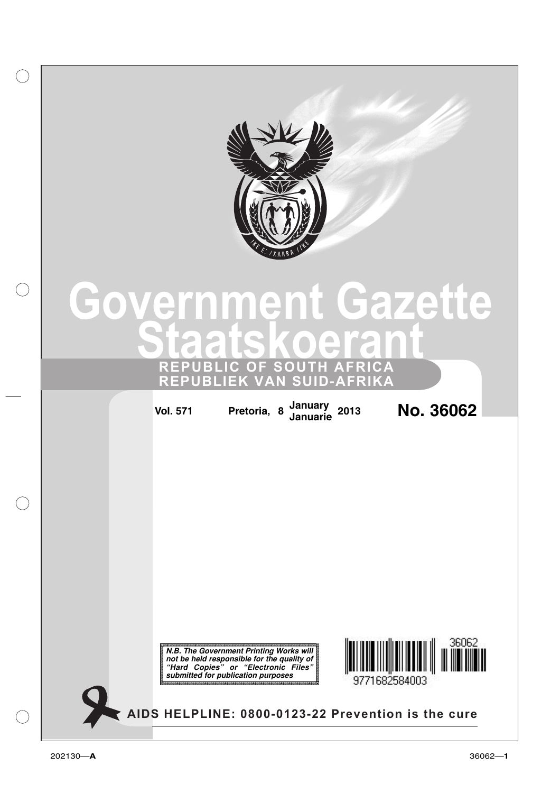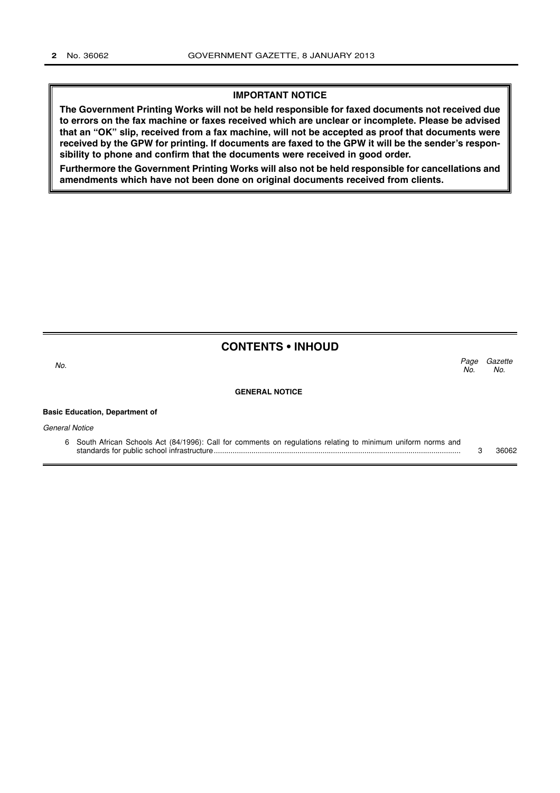#### **IMPORTANT NOTICE**

**The Government Printing Works will not be held responsible for faxed documents not received due to errors on the fax machine or faxes received which are unclear or incomplete. Please be advised that an "OK" slip, received from a fax machine, will not be accepted as proof that documents were received by the GPW for printing. If documents are faxed to the GPW it will be the sender's responsibility to phone and confirm that the documents were received in good order.**

**Furthermore the Government Printing Works will also not be held responsible for cancellations and amendments which have not been done on original documents received from clients.**

### **CONTENTS • INHOUD**

**GENERAL NOTICE Basic Education, Department of** General Notice 6 South African Schools Act (84/1996): Call for comments on regulations relating to minimum uniform norms and Gazette No. Page No.  $\sim$  No.

standards for public school infrastructure...................................................................................................................... 3 36062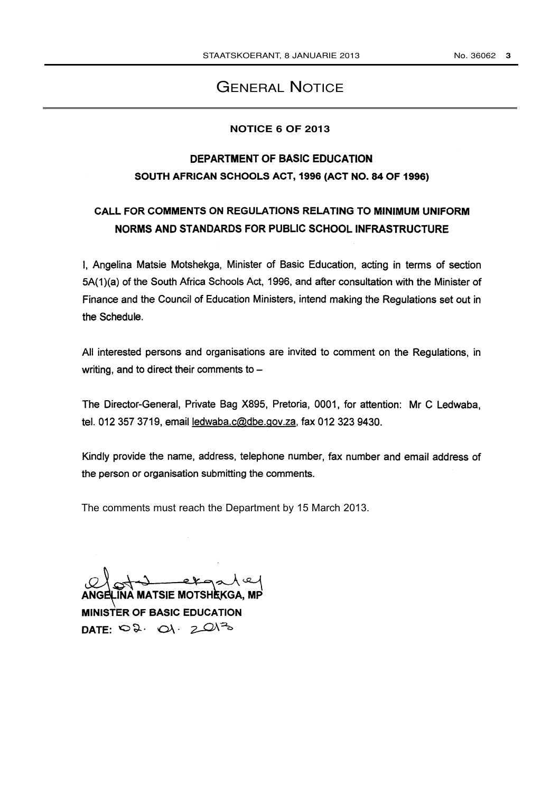# GENERAL NOTICE

### **NOTICE 6 OF 2013**

# DEPARTMENT OF BASIC EDUCATION SOUTH AFRICAN SCHOOLS ACT, 1996 (ACT NO. 84 OF 1996)

# CALL FOR COMMENTS ON REGULATIONS RELATING TO MINIMUM UNIFORM NORMS AND STANDARDS FOR PUBLIC SCHOOL INFRASTRUCTURE

1, Angelina Matsie Motshekga, Minister of Basic Education, acting in terms of section 5A(1)(a) of the South Africa Schools Act, 1996, and after consultation with the Minister of Finance and the Council of Education Ministers, intend making the Regulations set out in the Schedule.

All interested persons and organisations are invited to comment on the Regulations, in writing, and to direct their comments to  $-$ 

The Director-General, Private Bag X895, Pretoria, 0001, for attention: Mr C Ledwaba, tel. 012 357 3719, email ledwaba.c@dbe.gov.za, fax 012 323 9430.

Kindly provide the name, address, telephone number, fax number and email address of the person or organisation submitting the comments.

The comments must reach the Department by 15 March 2013.

H 1 etgaler<br>INA MATSIE MOTSHEKGA, MP

MINISTER OF BASIC EDUCATION DATE:  $Q_2 \cdot Q_1 \cdot 2Q_1^2$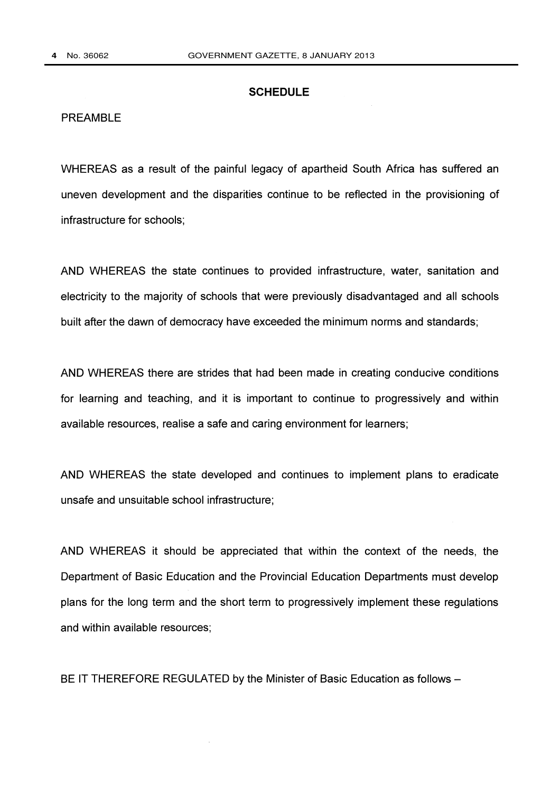#### **SCHEDULE**

### PREAMBLE

WHEREAS as a result of the painful legacy of apartheid South Africa has suffered an uneven development and the disparities continue to be reflected in the provisioning of infrastructure for schools;

AND WHEREAS the state continues to provided infrastructure, water, sanitation and electricity to the majority of schools that were previously disadvantaged and all schools built after the dawn of democracy have exceeded the minimum norms and standards;

AND WHEREAS there are strides that had been made in creating conducive conditions for learning and teaching, and it is important to continue to progressively and within available resources, realise a safe and caring environment for learners;

AND WHEREAS the state developed and continues to implement plans to eradicate unsafe and unsuitable school infrastructure;

AND WHEREAS it should be appreciated that within the context of the needs, the Department of Basic Education and the Provincial Education Departments must develop plans for the long term and the short term to progressively implement these regulations and within available resources;

BE IT THEREFORE REGULATED by the Minister of Basic Education as follows -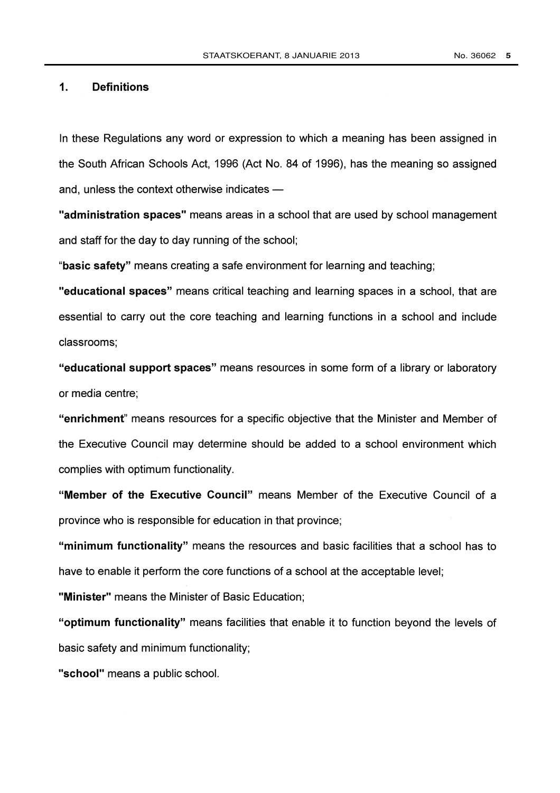### 1. Definitions

In these Regulations any word or expression to which a meaning has been assigned in the South African Schools Act, 1996 (Act No. 84 of 1996), has the meaning so assigned and, unless the context otherwise indicates  $-$ 

"administration spaces" means areas in a school that are used by school management and staff for the day to day running of the school;

"basic safety" means creating a safe environment for learning and teaching;

"educational spaces" means critical teaching and learning spaces in a school, that are essential to carry out the core teaching and learning functions in a school and include classrooms;

"educational support spaces" means resources in some form of a library or laboratory or media centre;

"enrichment" means resources for a specific objective that the Minister and Member of the Executive Council may determine should be added to a school environment which complies with optimum functionality.

"Member of the Executive Council" means Member of the Executive Council of a province who is responsible for education in that province;

"minimum functionality" means the resources and basic facilities that a school has to have to enable it perform the core functions of a school at the acceptable level;

"Minister" means the Minister of Basic Education;

"optimum functionality" means facilities that enable it to function beyond the levels of basic safety and minimum functionality;

"school" means a public school.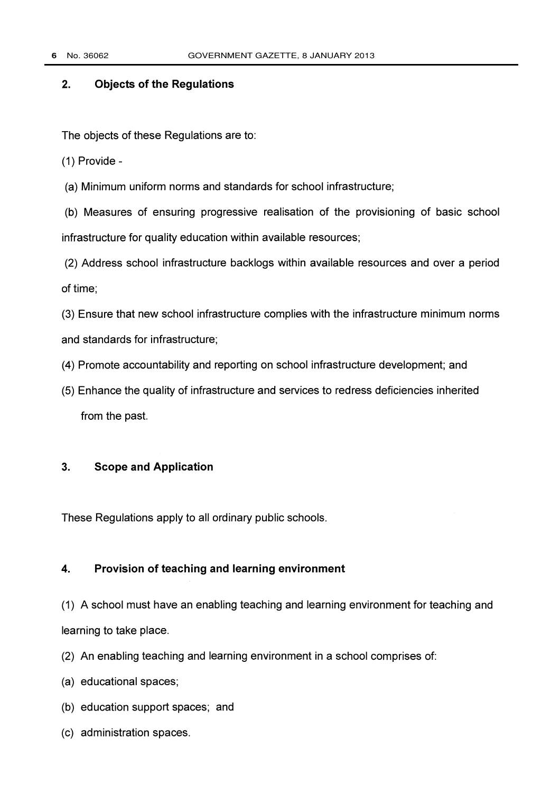## 2. Objects of the Regulations

The objects of these Regulations are to:

(1) Provide -

(a) Minimum uniform norms and standards for school infrastructure;

(b) Measures of ensuring progressive realisation of the provisioning of basic school infrastructure for quality education within available resources;

(2) Address school infrastructure backlogs within available resources and over a period of time;

(3) Ensure that new school infrastructure complies with the infrastructure minimum norms and standards for infrastructure;

- (4) Promote accountability and reporting on school infrastructure development; and
- (5) Enhance the quality of infrastructure and services to redress deficiencies inherited from the past.

## 3. Scope and Application

These Regulations apply to all ordinary public schools.

## 4. Provision of teaching and learning environment

(1) A school must have an enabling teaching and learning environment for teaching and learning to take place.

(2) An enabling teaching and learning environment in a school comprises of:

- (a) educational spaces;
- (b) education support spaces; and
- (c) administration spaces.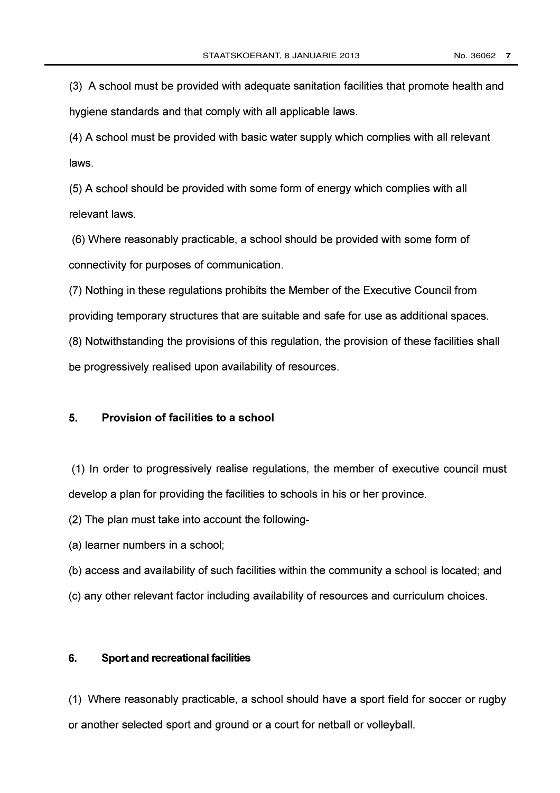(3) A school must be provided with adequate sanitation facilities that promote health and hygiene standards and that comply with all applicable laws.

(4) A school must be provided with basic water supply which complies with all relevant laws.

(5) A school should be provided with some form of energy which complies with all relevant laws.

(6) Where reasonably practicable, a school should be provided with some form of connectivity for purposes of communication.

(7) Nothing in these regulations prohibits the Member of the Executive Council from

providing temporary structures that are suitable and safe for use as additional spaces.

(8) Notwithstanding the provisions of this regulation, the provision of these facilities shall be progressively realised upon availability of resources.

### 5. Provision of facilities to a school

(1) In order to progressively realise regulations, the member of executive council must develop a plan for providing the facilities to schools in his or her province.

(2) The plan must take into account the following-

(a) learner numbers in a school;

(b) access and availability of such facilities within the community a school is located; and

(c) any other relevant factor including availability of resources and curriculum choices.

### 6. Sport and recreational facilities

(1) Where reasonably practicable, a school should have a sport field for soccer or rugby or another selected sport and ground or a court for netball or volleyball.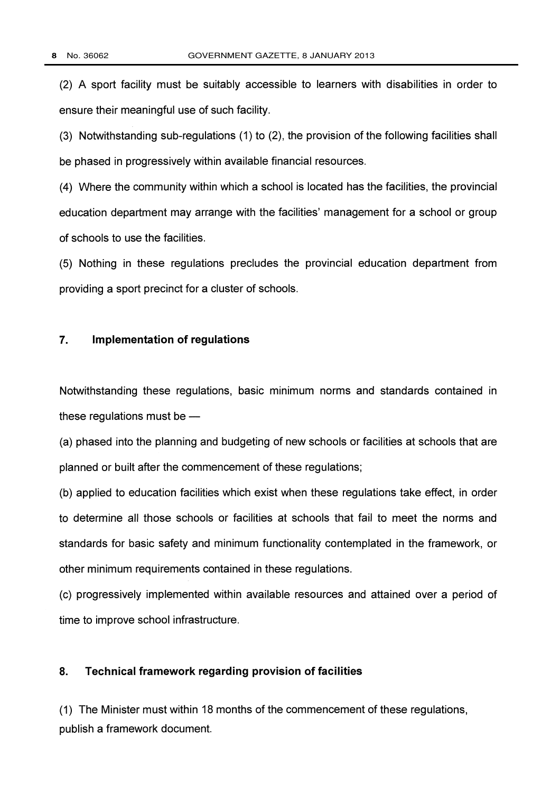(2) A sport facility must be suitably accessible to learners with disabilities in order to ensure their meaningful use of such facility.

(3) Notwithstanding sub-regulations (1) to (2), the provision of the following facilities shall be phased in progressively within available financial resources.

(4) Where the community within which a school is located has the facilities, the provincial education department may arrange with the facilities' management for a school or group of schools to use the facilities.

(5) Nothing in these regulations precludes the provincial education department from providing a sport precinct for a cluster of schools.

### 7. Implementation of regulations

Notwithstanding these regulations, basic minimum norms and standards contained in these regulations must be  $-$ 

(a) phased into the planning and budgeting of new schools or facilities at schools that are planned or built after the commencement of these regulations;

(b) applied to education facilities which exist when these regulations take effect, in order to determine all those schools or facilities at schools that fail to meet the norms and standards for basic safety and minimum functionality contemplated in the framework, or other minimum requirements contained in these regulations.

(c) progressively implemented within available resources and attained over a period of time to improve school infrastructure.

### 8. Technical framework regarding provision of facilities

(1) The Minister must within 18 months of the commencement of these regulations, publish a framework document.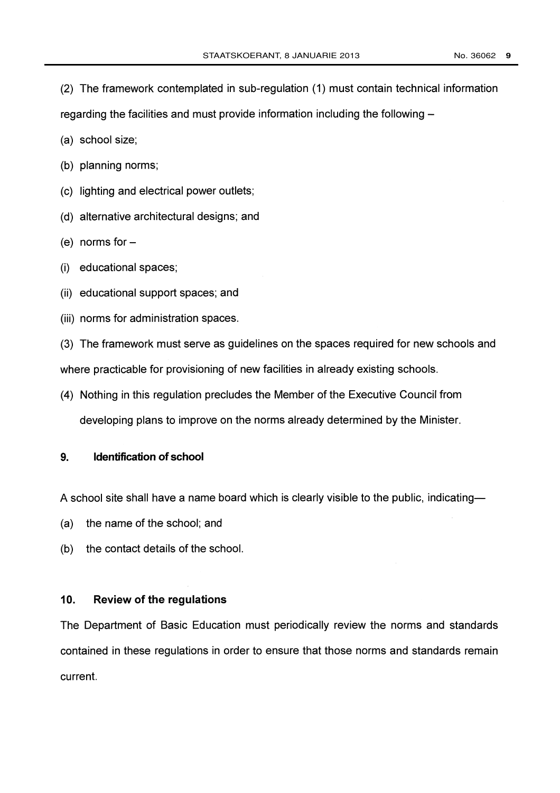(2) The framework contemplated in sub-regulation (1) must contain technical information

regarding the facilities and must provide information including the following

- (a) school size;
- (b) planning norms;
- (c) lighting and electrical power outlets;
- (d) alternative architectural designs; and
- (e) norms for
- (i) educational spaces;
- (ii) educational support spaces; and
- (iii) norms for administration spaces.

(3) The framework must serve as guidelines on the spaces required for new schools and where practicable for provisioning of new facilities in already existing schools.

(4) Nothing in this regulation precludes the Member of the Executive Council from

developing plans to improve on the norms already determined by the Minister.

### 9. Identification of school

A school site shall have a name board which is clearly visible to the public, indicating-

- (a) the name of the school; and
- (b) the contact details of the school.

### 10. Review of the regulations

The Department of Basic Education must periodically review the norms and standards contained in these regulations in order to ensure that those norms and standards remain current.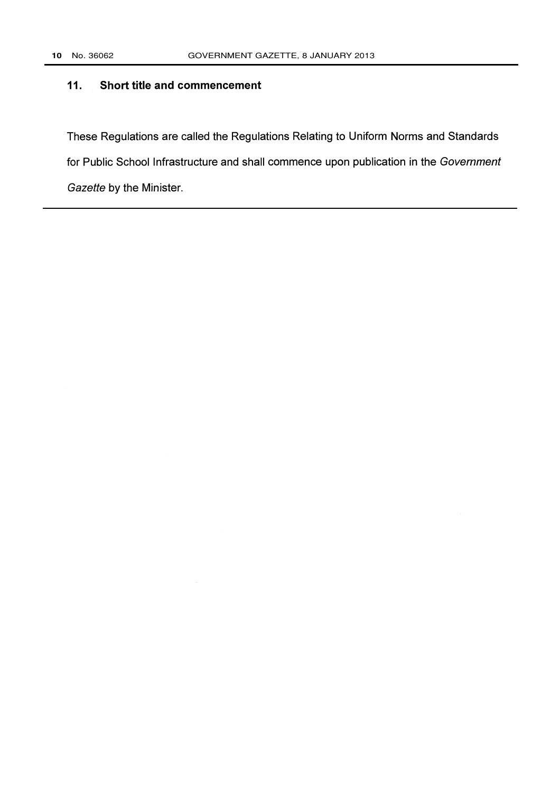### 11. Short title and commencement

These Regulations are called the Regulations Relating to Uniform Norms and Standards for Public School Infrastructure and shall commence upon publication in the Government Gazette by the Minister.